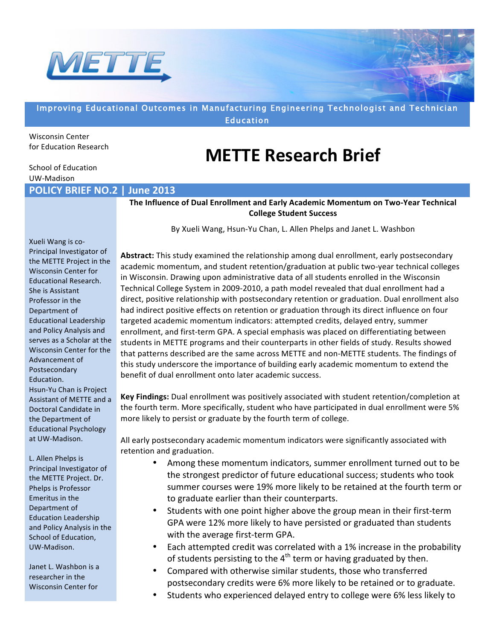

## Improving Educational Outcomes in Manufacturing Engineering Technologist and Technician **Education**

Wisconsin Center for Education Research

## **METTE Research Brief**

School of Education UW-Madison

**POLICY BRIEF NO.2 | June 2013** 

**The Influence of Dual Enrollment and Early Academic Momentum on Two-Year Technical College Student Success** 

By Xueli Wang, Hsun-Yu Chan, L. Allen Phelps and Janet L. Washbon

Xueli Wang is co-Principal Investigator of the METTE Project in the Wisconsin Center for Educational Research. She is Assistant Professor in the Department of **Educational Leadership** and Policy Analysis and serves as a Scholar at the Wisconsin Center for the Advancement of Postsecondary! Education.! Hsun-Yu Chan is Project Assistant of METTE and a Doctoral Candidate in the Department of Educational Psychology at UW-Madison.

L. Allen Phelps is Principal Investigator of the METTE Project. Dr. Phelps is Professor Emeritus in the Department of Education Leadership and Policy Analysis in the School of Education, UW-Madison.

Janet L. Washbon is a researcher in the Wisconsin Center for

**Abstract:** This study examined the relationship among dual enrollment, early postsecondary academic momentum, and student retention/graduation at public two-year technical colleges in Wisconsin. Drawing upon administrative data of all students enrolled in the Wisconsin Technical College System in 2009-2010, a path model revealed that dual enrollment had a direct, positive relationship with postsecondary retention or graduation. Dual enrollment also had indirect positive effects on retention or graduation through its direct influence on four targeted academic momentum indicators: attempted credits, delayed entry, summer enrollment, and first-term GPA. A special emphasis was placed on differentiating between students in METTE programs and their counterparts in other fields of study. Results showed that patterns described are the same across METTE and non-METTE students. The findings of this study underscore the importance of building early academic momentum to extend the benefit of dual enrollment onto later academic success.

**Key Findings:** Dual enrollment was positively associated with student retention/completion at the fourth term. More specifically, student who have participated in dual enrollment were 5% more likely to persist or graduate by the fourth term of college.

All early postsecondary academic momentum indicators were significantly associated with retention and graduation.

- Among these momentum indicators, summer enrollment turned out to be the strongest predictor of future educational success; students who took summer courses were 19% more likely to be retained at the fourth term or to graduate earlier than their counterparts.
- Students with one point higher above the group mean in their first-term GPA were 12% more likely to have persisted or graduated than students with the average first-term GPA.
- Each attempted credit was correlated with a 1% increase in the probability of students persisting to the  $4<sup>th</sup>$  term or having graduated by then.
- Compared with otherwise similar students, those who transferred postsecondary credits were 6% more likely to be retained or to graduate.
- Students who experienced delayed entry to college were 6% less likely to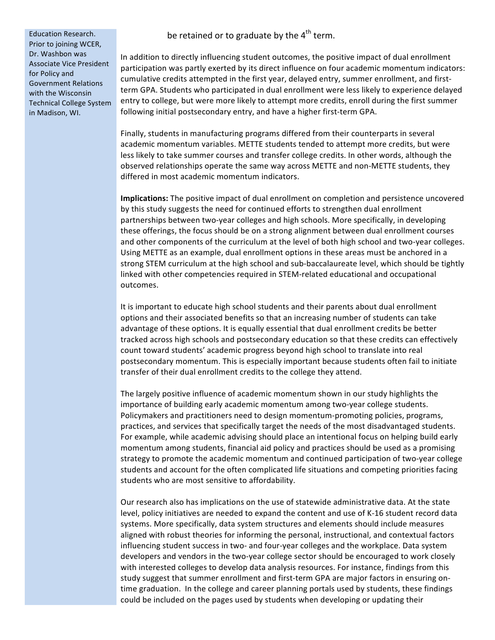be retained or to graduate by the  $4<sup>th</sup>$  term.

Education Research. Prior to joining WCER, Dr. Washbon was Associate Vice President for Policy and Government Relations with the Wisconsin Technical College System in Madison, WI.

In addition to directly influencing student outcomes, the positive impact of dual enrollment participation was partly exerted by its direct influence on four academic momentum indicators: cumulative credits attempted in the first year, delayed entry, summer enrollment, and firstterm GPA. Students who participated in dual enrollment were less likely to experience delayed entry to college, but were more likely to attempt more credits, enroll during the first summer following initial postsecondary entry, and have a higher first-term GPA.

Finally, students in manufacturing programs differed from their counterparts in several academic momentum variables. METTE students tended to attempt more credits, but were less likely to take summer courses and transfer college credits. In other words, although the observed relationships operate the same way across METTE and non-METTE students, they differed in most academic momentum indicators.

**Implications:** The positive impact of dual enrollment on completion and persistence uncovered by this study suggests the need for continued efforts to strengthen dual enrollment partnerships between two-year colleges and high schools. More specifically, in developing these offerings, the focus should be on a strong alignment between dual enrollment courses and other components of the curriculum at the level of both high school and two-year colleges. Using METTE as an example, dual enrollment options in these areas must be anchored in a strong STEM curriculum at the high school and sub-baccalaureate level, which should be tightly linked with other competencies required in STEM-related educational and occupational outcomes.

It is important to educate high school students and their parents about dual enrollment options and their associated benefits so that an increasing number of students can take advantage of these options. It is equally essential that dual enrollment credits be better tracked across high schools and postsecondary education so that these credits can effectively count toward students' academic progress beyond high school to translate into real postsecondary momentum. This is especially important because students often fail to initiate transfer of their dual enrollment credits to the college they attend.

The largely positive influence of academic momentum shown in our study highlights the importance of building early academic momentum among two-year college students. Policymakers and practitioners need to design momentum-promoting policies, programs, practices, and services that specifically target the needs of the most disadvantaged students. For example, while academic advising should place an intentional focus on helping build early momentum among students, financial aid policy and practices should be used as a promising strategy to promote the academic momentum and continued participation of two-year college students and account for the often complicated life situations and competing priorities facing students who are most sensitive to affordability.

Our research also has implications on the use of statewide administrative data. At the state level, policy initiatives are needed to expand the content and use of K-16 student record data systems. More specifically, data system structures and elements should include measures aligned with robust theories for informing the personal, instructional, and contextual factors influencing student success in two- and four-year colleges and the workplace. Data system developers and vendors in the two-year college sector should be encouraged to work closely with interested colleges to develop data analysis resources. For instance, findings from this study suggest that summer enrollment and first-term GPA are major factors in ensuring ontime graduation. In the college and career planning portals used by students, these findings could be included on the pages used by students when developing or updating their